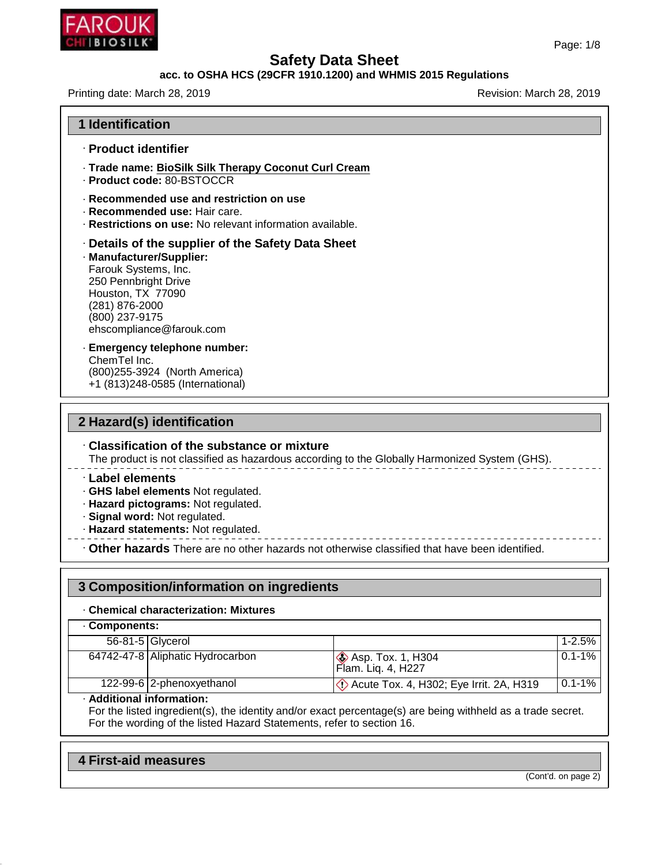

# **Safety Data Sheet<br>acc. to OSHA HCS (29CFR 1910.1200) and WHMIS 2015 Regulations<br>Revision: March<br>Revision: March**

| acc. to OSHA HCS (29CFR 1910.1200) and WHMIS 2015 Regulations                                                                                                                                                       |                          |  |  |
|---------------------------------------------------------------------------------------------------------------------------------------------------------------------------------------------------------------------|--------------------------|--|--|
| Printing date: March 28, 2019                                                                                                                                                                                       | Revision: March 28, 2019 |  |  |
| <b>1 Identification</b>                                                                                                                                                                                             |                          |  |  |
| · Product identifier                                                                                                                                                                                                |                          |  |  |
| · Trade name: BioSilk Silk Therapy Coconut Curl Cream<br>· Product code: 80-BSTOCCR                                                                                                                                 |                          |  |  |
| · Recommended use and restriction on use<br>· Recommended use: Hair care.<br><b>· Restrictions on use:</b> No relevant information available.                                                                       |                          |  |  |
| · Details of the supplier of the Safety Data Sheet<br>· Manufacturer/Supplier:<br>Farouk Systems, Inc.<br>250 Pennbright Drive<br>Houston, TX 77090<br>(281) 876-2000<br>(800) 237-9175<br>ehscompliance@farouk.com |                          |  |  |
| · Emergency telephone number:<br>ChemTel Inc.<br>(800) 255-3924 (North America)<br>+1 (813)248-0585 (International)                                                                                                 |                          |  |  |

# **2 Hazard(s) identification**

· **Classification of the substance or mixture** The product is not classification<br>
The product is not classified as hazardous according to the Globally Harmonized System (GHS).<br>
The product is not classified as hazardous according to the Globally Harmonized System (GHS)

- 
- 
- 

Classification of the substance or mixture<br>
The product is not classified as hazardous according to the Globally Harmonized System (GHS).<br>
- Label elements<br>
- GHS label elements Not regulated.<br>
- Hazard pictograms: Not reg **3 Composition/information: Mixtures**<br> **3 Composition/information on ingredients**<br> **3 Composition/information on ingredients**<br> **3 Composition/information on ingredients** 

| . Chemical characterization: Mixtures |                                  |                                                      |            |  |
|---------------------------------------|----------------------------------|------------------------------------------------------|------------|--|
| Components:                           |                                  |                                                      |            |  |
| 56-81-5 Glycerol                      |                                  |                                                      | $1 - 2.5%$ |  |
|                                       | 64742-47-8 Aliphatic Hydrocarbon | <b>&amp; Asp. Tox. 1, H304</b><br>Flam. Liq. 4, H227 | $0.1 - 1%$ |  |
|                                       | 122-99-6 2-phenoxyethanol        | De Acute Tox. 4, H302; Eye Irrit. 2A, H319           | $0.1 - 1%$ |  |

**4 First-aid measures**<br>**4 First-aid measures**<br>**4 First-aid measures** 

48.0

(Cont'd. on page 2)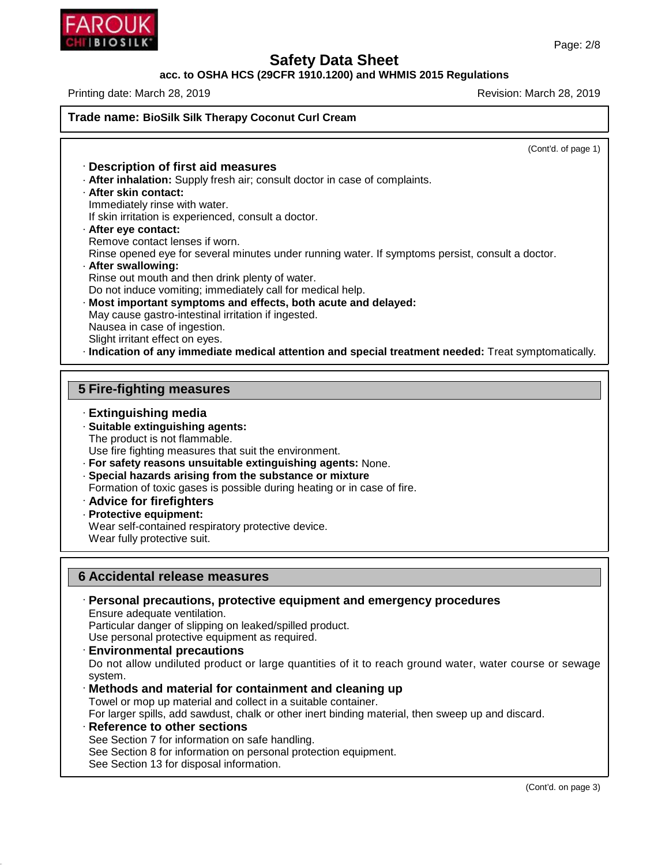

48.0

# **Safety Data Sheet**

### **acc. to OSHA HCS (29CFR 1910.1200) and WHMIS 2015 Regulations**

Printing date: March 28, 2019 **Printing date: March 28, 2019** 

**Trade name: BioSilk Silk Therapy Coconut Curl Cream**

Page: 2/8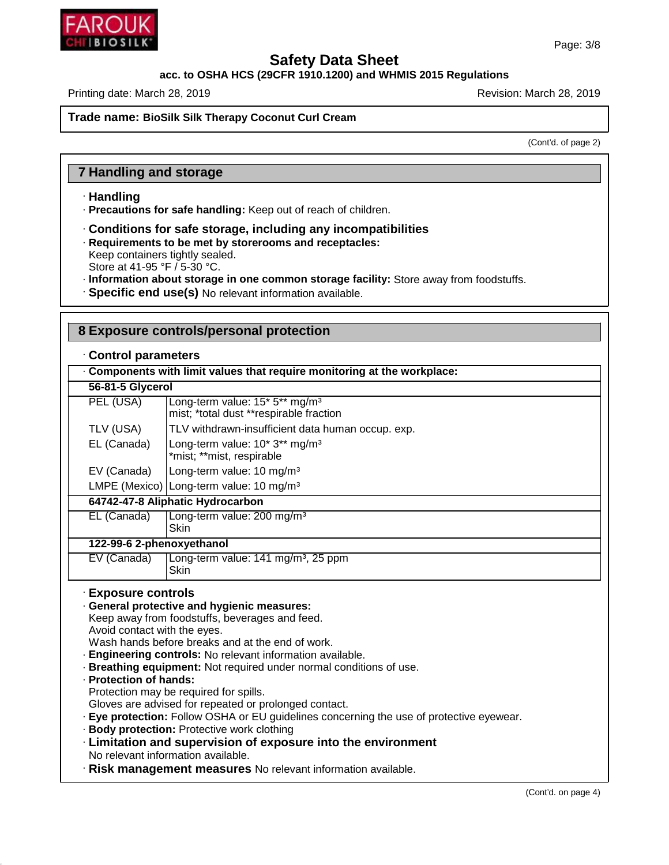

**acc. to OSHA HCS (29CFR 1910.1200) and WHMIS 2015 Regulations**

Printing date: March 28, 2019 **Printing date: March 28, 2019** Revision: March 28, 2019

### **Trade name: BioSilk Silk Therapy Coconut Curl Cream**

(Cont'd. of page 2)

### **7 Handling and storage**

### · **Handling**

· **Precautions for safe handling:** Keep out of reach of children.

- · **Conditions for safe storage, including any incompatibilities**
- · **Requirements to be met by storerooms and receptacles:**

Keep containers tightly sealed.

Store at 41-95 °F / 5-30 °C.

- · **Information about storage in one common storage facility:** Store away from foodstuffs.
- · **Specific end use(s)** No relevant information available.

### **8 Exposure controls/personal protection**

### · **Control parameters**

| . Components with limit values that require monitoring at the workplace: |                                                                                       |  |  |  |  |
|--------------------------------------------------------------------------|---------------------------------------------------------------------------------------|--|--|--|--|
| 56-81-5 Glycerol                                                         |                                                                                       |  |  |  |  |
| PEL (USA)                                                                | Long-term value: 15* 5** mg/m <sup>3</sup><br>mist; *total dust **respirable fraction |  |  |  |  |
| TLV (USA)                                                                | TLV withdrawn-insufficient data human occup. exp.                                     |  |  |  |  |
| EL (Canada)                                                              | Long-term value: 10* 3** mg/m <sup>3</sup><br>*mist; **mist, respirable               |  |  |  |  |
| EV (Canada)                                                              | Long-term value: 10 mg/m <sup>3</sup>                                                 |  |  |  |  |
|                                                                          | LMPE (Mexico)   Long-term value: 10 mg/m <sup>3</sup>                                 |  |  |  |  |
| 64742-47-8 Aliphatic Hydrocarbon                                         |                                                                                       |  |  |  |  |
| EL (Canada)                                                              | Long-term value: 200 mg/m <sup>3</sup><br><b>Skin</b>                                 |  |  |  |  |
|                                                                          | 122-99-6 2-phenoxyethanol                                                             |  |  |  |  |
| EV (Canada)                                                              | Long-term value: 141 mg/m <sup>3</sup> , 25 ppm<br>Skin                               |  |  |  |  |

### · **Exposure controls**

· **General protective and hygienic measures:**

Keep away from foodstuffs, beverages and feed. Avoid contact with the eyes.

Wash hands before breaks and at the end of work.

- · **Engineering controls:** No relevant information available.
- · **Breathing equipment:** Not required under normal conditions of use.
- · **Protection of hands:**

48.0

Protection may be required for spills.

- Gloves are advised for repeated or prolonged contact.
- · **Eye protection:** Follow OSHA or EU guidelines concerning the use of protective eyewear.
- · **Body protection:** Protective work clothing
- · **Limitation and supervision of exposure into the environment** No relevant information available.

· **Risk management measures** No relevant information available.

Page: 3/8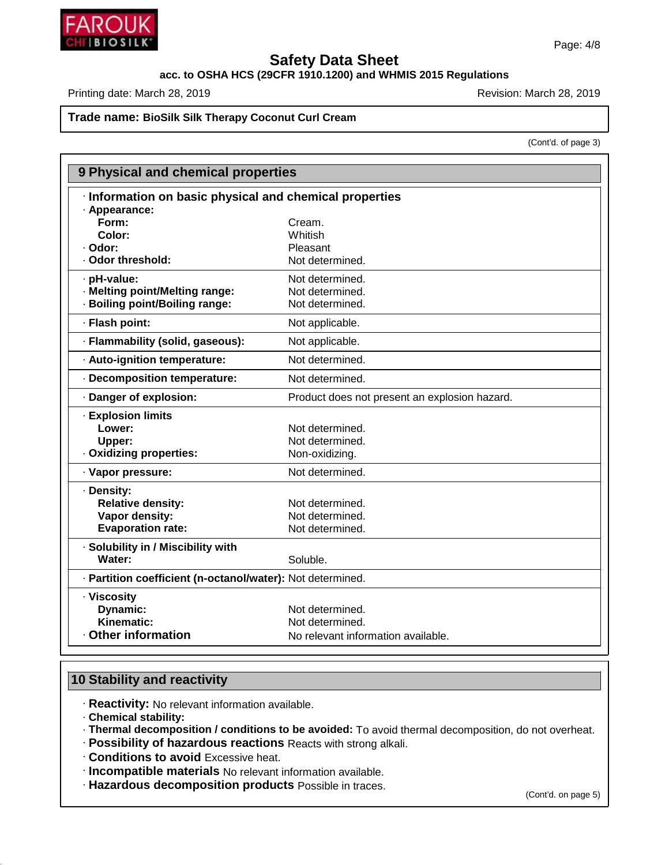

### **acc. to OSHA HCS (29CFR 1910.1200) and WHMIS 2015 Regulations**

Printing date: March 28, 2019 **Printing date: March 28, 2019** Revision: March 28, 2019

### **Trade name: BioSilk Silk Therapy Coconut Curl Cream**

(Cont'd. of page 3)

|                                                            | 9 Physical and chemical properties            |  |  |  |
|------------------------------------------------------------|-----------------------------------------------|--|--|--|
| Information on basic physical and chemical properties      |                                               |  |  |  |
| · Appearance:                                              |                                               |  |  |  |
| Form:                                                      | Cream.                                        |  |  |  |
| Color:                                                     | Whitish                                       |  |  |  |
| ⋅ Odor:                                                    | Pleasant                                      |  |  |  |
| · Odor threshold:                                          | Not determined.                               |  |  |  |
| · pH-value:                                                | Not determined.                               |  |  |  |
| · Melting point/Melting range:                             | Not determined.                               |  |  |  |
| · Boiling point/Boiling range:                             | Not determined.                               |  |  |  |
| · Flash point:                                             | Not applicable.                               |  |  |  |
| · Flammability (solid, gaseous):                           | Not applicable.                               |  |  |  |
| · Auto-ignition temperature:                               | Not determined.                               |  |  |  |
| · Decomposition temperature:                               | Not determined.                               |  |  |  |
| · Danger of explosion:                                     | Product does not present an explosion hazard. |  |  |  |
| <b>Explosion limits</b>                                    |                                               |  |  |  |
| Lower:                                                     | Not determined.                               |  |  |  |
| Upper:                                                     | Not determined.                               |  |  |  |
| · Oxidizing properties:                                    | Non-oxidizing.                                |  |  |  |
| · Vapor pressure:                                          | Not determined.                               |  |  |  |
| · Density:                                                 |                                               |  |  |  |
| <b>Relative density:</b>                                   | Not determined.                               |  |  |  |
| Vapor density:                                             | Not determined.                               |  |  |  |
| <b>Evaporation rate:</b>                                   | Not determined.                               |  |  |  |
| · Solubility in / Miscibility with                         |                                               |  |  |  |
| Water:                                                     | Soluble.                                      |  |  |  |
| · Partition coefficient (n-octanol/water): Not determined. |                                               |  |  |  |
| · Viscosity                                                |                                               |  |  |  |
| Dynamic:                                                   | Not determined.                               |  |  |  |
| <b>Kinematic:</b>                                          | Not determined.                               |  |  |  |
| Other information                                          | No relevant information available.            |  |  |  |

### **10 Stability and reactivity**

· **Reactivity:** No relevant information available.

· **Chemical stability:**

48.0

· **Thermal decomposition / conditions to be avoided:** To avoid thermal decomposition, do not overheat.

· **Possibility of hazardous reactions** Reacts with strong alkali.

· **Conditions to avoid** Excessive heat.

- · **Incompatible materials** No relevant information available.
- · **Hazardous decomposition products** Possible in traces.

(Cont'd. on page 5)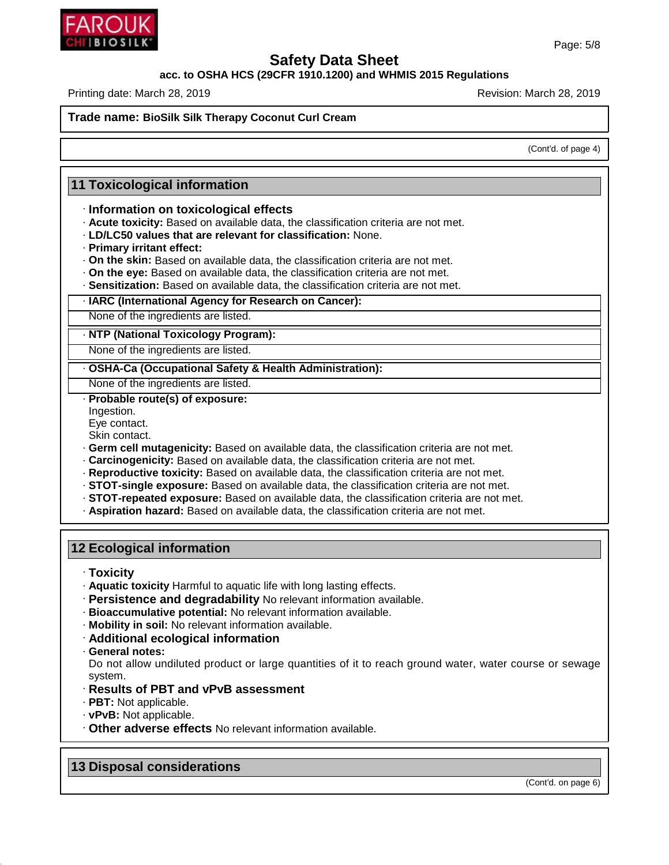

**acc. to OSHA HCS (29CFR 1910.1200) and WHMIS 2015 Regulations**

Printing date: March 28, 2019 **Printing date: March 28, 2019** Revision: March 28, 2019

**Trade name: BioSilk Silk Therapy Coconut Curl Cream**

(Cont'd. of page 4)

### **11 Toxicological information**

### · **Information on toxicological effects**

- · **Acute toxicity:** Based on available data, the classification criteria are not met.
- · **LD/LC50 values that are relevant for classification:** None.
- · **Primary irritant effect:**
- · **On the skin:** Based on available data, the classification criteria are not met.
- · **On the eye:** Based on available data, the classification criteria are not met.
- · **Sensitization:** Based on available data, the classification criteria are not met.

### · **IARC (International Agency for Research on Cancer):**

None of the ingredients are listed.

· **NTP (National Toxicology Program):**

None of the ingredients are listed.

· **OSHA-Ca (Occupational Safety & Health Administration):**

None of the ingredients are listed.

- · **Probable route(s) of exposure:**
- Ingestion.
- Eye contact.
- Skin contact.
- · **Germ cell mutagenicity:** Based on available data, the classification criteria are not met.
- · **Carcinogenicity:** Based on available data, the classification criteria are not met.
- · **Reproductive toxicity:** Based on available data, the classification criteria are not met.
- · **STOT-single exposure:** Based on available data, the classification criteria are not met.
- · **STOT-repeated exposure:** Based on available data, the classification criteria are not met.
- · **Aspiration hazard:** Based on available data, the classification criteria are not met.

### **12 Ecological information**

· **Toxicity**

- · **Aquatic toxicity** Harmful to aquatic life with long lasting effects.
- · **Persistence and degradability** No relevant information available.
- · **Bioaccumulative potential:** No relevant information available.
- · **Mobility in soil:** No relevant information available.
- · **Additional ecological information**
- · **General notes:**

48.0

Do not allow undiluted product or large quantities of it to reach ground water, water course or sewage system.

- · **Results of PBT and vPvB assessment**
- · **PBT:** Not applicable.
- · **vPvB:** Not applicable.
- · **Other adverse effects** No relevant information available.

**13 Disposal considerations**

(Cont'd. on page 6)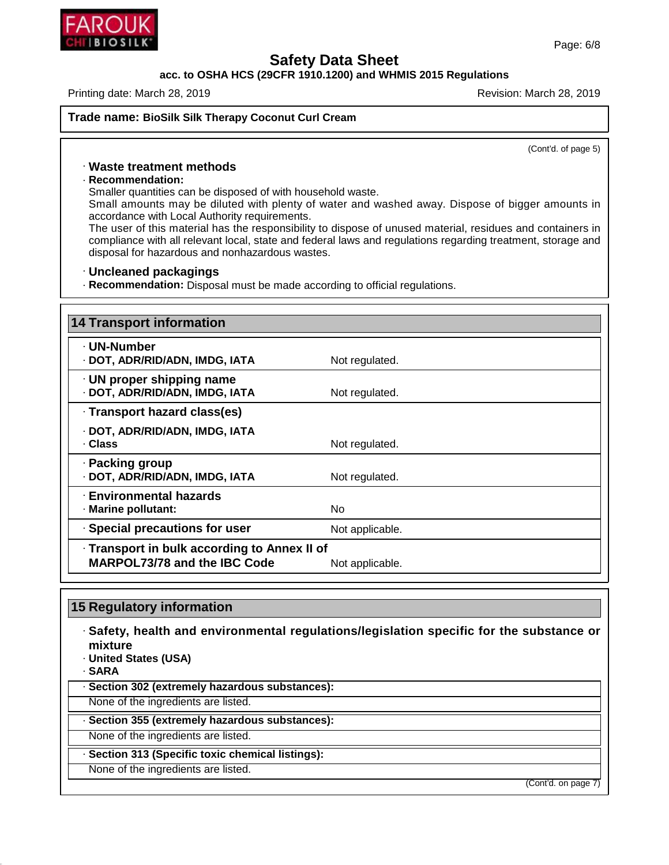

### **acc. to OSHA HCS (29CFR 1910.1200) and WHMIS 2015 Regulations**

Printing date: March 28, 2019 **Printing date: March 28, 2019** Revision: March 28, 2019

(Cont'd. of page 5)

### · **Waste treatment methods**

### · **Recommendation:**

Smaller quantities can be disposed of with household waste.

Small amounts may be diluted with plenty of water and washed away. Dispose of bigger amounts in accordance with Local Authority requirements.

The user of this material has the responsibility to dispose of unused material, residues and containers in compliance with all relevant local, state and federal laws and regulations regarding treatment, storage and disposal for hazardous and nonhazardous wastes.

### · **Uncleaned packagings**

· **Recommendation:** Disposal must be made according to official regulations.

| <b>14 Transport information</b>                                                                        |                 |  |
|--------------------------------------------------------------------------------------------------------|-----------------|--|
| · UN-Number<br>· DOT, ADR/RID/ADN, IMDG, IATA                                                          | Not regulated.  |  |
| $\cdot$ UN proper shipping name<br>· DOT, ADR/RID/ADN, IMDG, IATA                                      | Not regulated.  |  |
| · Transport hazard class(es)                                                                           |                 |  |
| · DOT, ADR/RID/ADN, IMDG, IATA<br>· Class                                                              | Not regulated.  |  |
| · Packing group<br>· DOT, ADR/RID/ADN, IMDG, IATA                                                      | Not regulated.  |  |
| · Environmental hazards<br>· Marine pollutant:                                                         | No.             |  |
| · Special precautions for user                                                                         | Not applicable. |  |
| · Transport in bulk according to Annex II of<br><b>MARPOL73/78 and the IBC Code</b><br>Not applicable. |                 |  |

## **15 Regulatory information**

· **Safety, health and environmental regulations/legislation specific for the substance or mixture**

· **United States (USA)**

· **SARA**

48.0

· **Section 302 (extremely hazardous substances):**

None of the ingredients are listed.

### · **Section 355 (extremely hazardous substances):**

None of the ingredients are listed.

· **Section 313 (Specific toxic chemical listings):**

None of the ingredients are listed.

(Cont'd. on page 7)

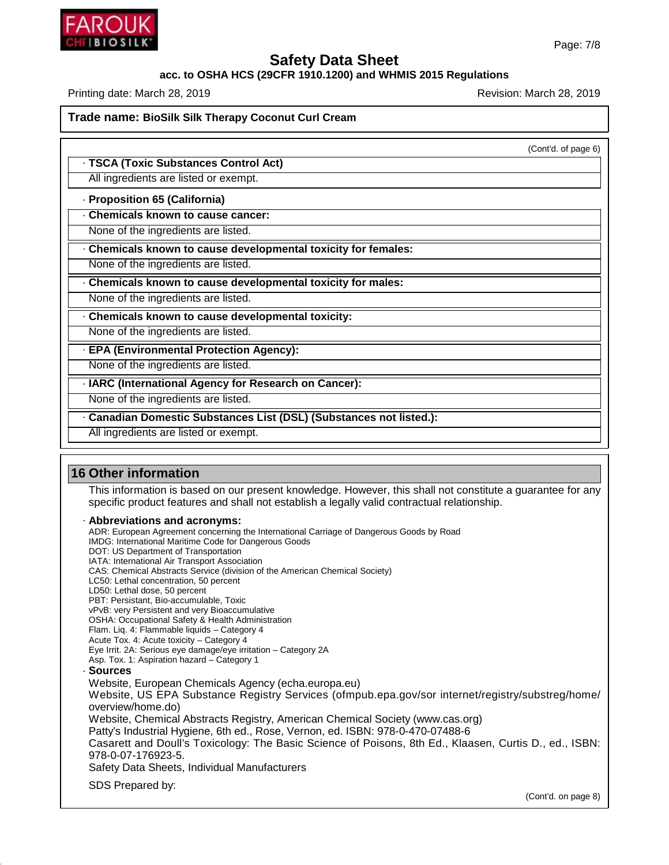

### **acc. to OSHA HCS (29CFR 1910.1200) and WHMIS 2015 Regulations**

Printing date: March 28, 2019 **Printing date: March 28, 2019** Revision: March 28, 2019

**Trade name: BioSilk Silk Therapy Coconut Curl Cream**

(Cont'd. of page 6)

### · **TSCA (Toxic Substances Control Act)**

All ingredients are listed or exempt.

### · **Proposition 65 (California)**

· **Chemicals known to cause cancer:**

None of the ingredients are listed.

· **Chemicals known to cause developmental toxicity for females:**

None of the ingredients are listed.

· **Chemicals known to cause developmental toxicity for males:**

None of the ingredients are listed.

· **Chemicals known to cause developmental toxicity:**

None of the ingredients are listed.

· **EPA (Environmental Protection Agency):**

None of the ingredients are listed.

· **IARC (International Agency for Research on Cancer):**

None of the ingredients are listed.

· **Canadian Domestic Substances List (DSL) (Substances not listed.):**

All ingredients are listed or exempt.

### **16 Other information**

48.0

This information is based on our present knowledge. However, this shall not constitute a guarantee for any specific product features and shall not establish a legally valid contractual relationship.

· **Abbreviations and acronyms:**

ADR: European Agreement concerning the International Carriage of Dangerous Goods by Road IMDG: International Maritime Code for Dangerous Goods DOT: US Department of Transportation IATA: International Air Transport Association CAS: Chemical Abstracts Service (division of the American Chemical Society) LC50: Lethal concentration, 50 percent LD50: Lethal dose, 50 percent PBT: Persistant, Bio-accumulable, Toxic vPvB: very Persistent and very Bioaccumulative OSHA: Occupational Safety & Health Administration Flam. Liq. 4: Flammable liquids – Category 4 Acute Tox. 4: Acute toxicity – Category 4 Eye Irrit.2A: Serious eye damage/eye irritation – Category 2A Asp. Tox. 1: Aspiration hazard – Category 1 · **Sources** Website, European Chemicals Agency (echa.europa.eu) Website, US EPA Substance Registry Services (ofmpub.epa.gov/sor internet/registry/substreg/home/ overview/home.do) Website, Chemical Abstracts Registry, American Chemical Society (www.cas.org) Patty's Industrial Hygiene, 6th ed., Rose, Vernon, ed. ISBN: 978-0-470-07488-6 Casarett and Doull's Toxicology: The Basic Science of Poisons, 8th Ed., Klaasen, Curtis D.,ed., ISBN: 978-0-07-176923-5. Safety Data Sheets, Individual Manufacturers SDS Prepared by: (Cont'd. on page 8)